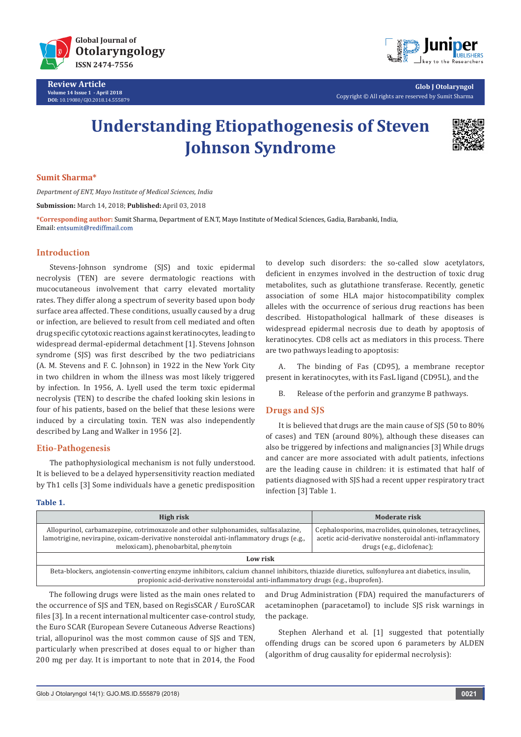

**Review Article Volume 14 Issue 1 - April 2018 DOI:** [10.19080/GJO.2018.14.555879](http://dx.doi.org/10.19080/GJO.2018.14.555879)



**Glob J Otolaryngol** Copyright © All rights are reserved by Sumit Sharma

# **Understanding Etiopathogenesis of Steven Johnson Syndrome**



## **Sumit Sharma\***

*Department of ENT, Mayo Institute of Medical Sciences, India*

**Submission:** March 14, 2018; **Published:** April 03, 2018

**\*Corresponding author:** Sumit Sharma, Department of E.N.T, Mayo Institute of Medical Sciences, Gadia, Barabanki, India, Email: entsumit@rediffmail.com

# **Introduction**

Stevens-Johnson syndrome (SJS) and toxic epidermal necrolysis (TEN) are severe dermatologic reactions with mucocutaneous involvement that carry elevated mortality rates. They differ along a spectrum of severity based upon body surface area affected. These conditions, usually caused by a drug or infection, are believed to result from cell mediated and often drug specific cytotoxic reactions against keratinocytes, leading to widespread dermal-epidermal detachment [1]. Stevens Johnson syndrome (SJS) was first described by the two pediatricians (A. M. Stevens and F. C. Johnson) in 1922 in the New York City in two children in whom the illness was most likely triggered by infection. In 1956, A. Lyell used the term toxic epidermal necrolysis (TEN) to describe the chafed looking skin lesions in four of his patients, based on the belief that these lesions were induced by a circulating toxin. TEN was also independently described by Lang and Walker in 1956 [2].

# **Etio-Pathogenesis**

The pathophysiological mechanism is not fully understood. It is believed to be a delayed hypersensitivity reaction mediated by Th1 cells [3] Some individuals have a genetic predisposition to develop such disorders: the so-called slow acetylators, deficient in enzymes involved in the destruction of toxic drug metabolites, such as glutathione transferase. Recently, genetic association of some HLA major histocompatibility complex alleles with the occurrence of serious drug reactions has been described. Histopathological hallmark of these diseases is widespread epidermal necrosis due to death by apoptosis of keratinocytes. CD8 cells act as mediators in this process. There are two pathways leading to apoptosis:

A. The binding of Fas (CD95), a membrane receptor present in keratinocytes, with its FasL ligand (CD95L), and the

B. Release of the perforin and granzyme B pathways.

# **Drugs and SJS**

It is believed that drugs are the main cause of SJS (50 to 80% of cases) and TEN (around 80%), although these diseases can also be triggered by infections and malignancies [3] While drugs and cancer are more associated with adult patients, infections are the leading cause in children: it is estimated that half of patients diagnosed with SJS had a recent upper respiratory tract infection [3] Table 1.

#### **Table 1.**

| High risk                                                                                                                                                                                                                          | Moderate risk                                                                                                                                  |  |
|------------------------------------------------------------------------------------------------------------------------------------------------------------------------------------------------------------------------------------|------------------------------------------------------------------------------------------------------------------------------------------------|--|
| Allopurinol, carbamazepine, cotrimoxazole and other sulphonamides, sulfasalazine,<br>lamotrigine, nevirapine, oxicam-derivative nonsteroidal anti-inflammatory drugs (e.g.,<br>meloxicam), phenobarbital, phenytoin                | Cephalosporins, macrolides, quinolones, tetracyclines,<br>acetic acid-derivative nonsteroidal anti-inflammatory  <br>drugs (e.g., diclofenac); |  |
| Low risk                                                                                                                                                                                                                           |                                                                                                                                                |  |
| Beta-blockers, angiotensin-converting enzyme inhibitors, calcium channel inhibitors, thiazide diuretics, sulfonylurea ant diabetics, insulin,<br>propionic acid-derivative nonsteroidal anti-inflammatory drugs (e.g., ibuprofen). |                                                                                                                                                |  |
| The following drugs were listed as the main ones related to                                                                                                                                                                        | and Drug Administration (FDA) required the manufacturers of                                                                                    |  |

the occurrence of SJS and TEN, based on RegisSCAR / EuroSCAR files [3]. In a recent international multicenter case-control study, the Euro SCAR (European Severe Cutaneous Adverse Reactions) trial, allopurinol was the most common cause of SJS and TEN, particularly when prescribed at doses equal to or higher than 200 mg per day. It is important to note that in 2014, the Food

and Drug Administration (FDA) required the manufacturers of acetaminophen (paracetamol) to include SJS risk warnings in the package.

Stephen Alerhand et al. [1] suggested that potentially offending drugs can be scored upon 6 parameters by ALDEN (algorithm of drug causality for epidermal necrolysis):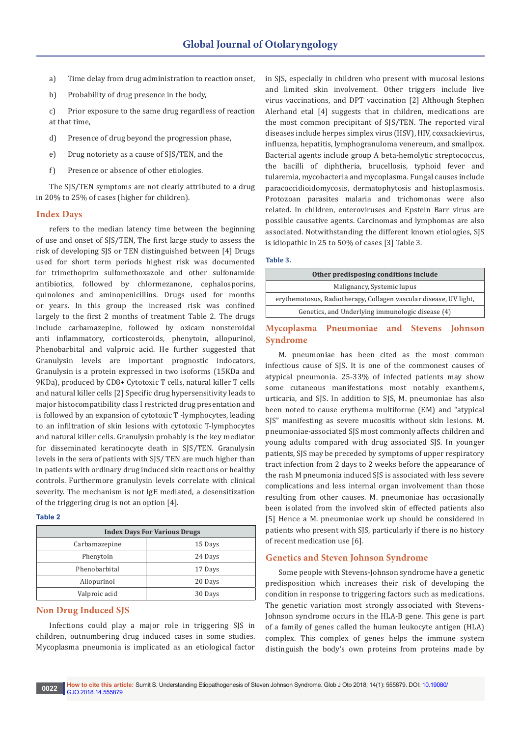- a) Time delay from drug administration to reaction onset,
- b) Probability of drug presence in the body,

c) Prior exposure to the same drug regardless of reaction at that time,

- d) Presence of drug beyond the progression phase,
- e) Drug notoriety as a cause of SJS/TEN, and the
- f) Presence or absence of other etiologies.

The SJS/TEN symptoms are not clearly attributed to a drug in 20% to 25% of cases (higher for children).

#### **Index Days**

refers to the median latency time between the beginning of use and onset of SJS/TEN, The first large study to assess the risk of developing SJS or TEN distinguished between [4] Drugs used for short term periods highest risk was documented for trimethoprim sulfomethoxazole and other sulfonamide antibiotics, followed by chlormezanone, cephalosporins, quinolones and aminopenicillins. Drugs used for months or years. In this group the increased risk was confined largely to the first 2 months of treatment Table 2. The drugs include carbamazepine, followed by oxicam nonsteroidal anti inflammatory, corticosteroids, phenytoin, allopurinol, Phenobarbital and valproic acid. He further suggested that Granulysin levels are important prognostic indocators, Granulysin is a protein expressed in two isoforms (15KDa and 9KDa), produced by CD8+ Cytotoxic T cells, natural killer T cells and natural killer cells [2] Specific drug hypersensitivity leads to major histocompatibility class I restricted drug presentation and is followed by an expansion of cytotoxic T -lymphocytes, leading to an infiltration of skin lesions with cytotoxic T-lymphocytes and natural killer cells. Granulysin probably is the key mediator for disseminated keratinocyte death in SJS/TEN. Granulysin levels in the sera of patients with SJS/ TEN are much higher than in patients with ordinary drug induced skin reactions or healthy controls. Furthermore granulysin levels correlate with clinical severity. The mechanism is not IgE mediated, a desensitization of the triggering drug is not an option [4].

## **Table 2**

| <b>Index Days For Various Drugs</b> |         |
|-------------------------------------|---------|
| Carbamazepine                       | 15 Days |
| Phenytoin                           | 24 Days |
| Phenobarbital                       | 17 Days |
| Allopurinol                         | 20 Days |
| Valproic acid                       | 30 Days |

#### **Non Drug Induced SJS**

Infections could play a major role in triggering SJS in children, outnumbering drug induced cases in some studies. Mycoplasma pneumonia is implicated as an etiological factor

in SJS, especially in children who present with mucosal lesions and limited skin involvement. Other triggers include live virus vaccinations, and DPT vaccination [2] Although Stephen Alerhand etal [4] suggests that in children, medications are the most common precipitant of SJS/TEN. The reported viral diseases include herpes simplex virus (HSV), HIV, coxsackievirus, influenza, hepatitis, lymphogranuloma venereum, and smallpox. Bacterial agents include group A beta-hemolytic streptococcus, the bacilli of diphtheria, brucellosis, typhoid fever and tularemia, mycobacteria and mycoplasma. Fungal causes include paracoccidioidomycosis, dermatophytosis and histoplasmosis. Protozoan parasites malaria and trichomonas were also related. In children, enteroviruses and Epstein Barr virus are possible causative agents. Carcinomas and lymphomas are also associated. Notwithstanding the different known etiologies, SJS is idiopathic in 25 to 50% of cases [3] Table 3.

## **Table 3.**

| Other predisposing conditions include                             |  |
|-------------------------------------------------------------------|--|
| Malignancy, Systemic lupus                                        |  |
| erythematosus, Radiotherapy, Collagen vascular disease, UV light, |  |
| Genetics, and Underlying immunologic disease (4)                  |  |

# **Mycoplasma Pneumoniae and Stevens Johnson Syndrome**

M. pneumoniae has been cited as the most common infectious cause of SJS. It is one of the commonest causes of atypical pneumonia. 25-33% of infected patients may show some cutaneous manifestations most notably exanthems, urticaria, and SJS. In addition to SJS, M. pneumoniae has also been noted to cause erythema multiforme (EM) and "atypical SJS" manifesting as severe mucositis without skin lesions. M. pneumoniae-associated SJS most commonly affects children and young adults compared with drug associated SJS. In younger patients, SJS may be preceded by symptoms of upper respiratory tract infection from 2 days to 2 weeks before the appearance of the rash M pneumonia induced SJS is associated with less severe complications and less internal organ involvement than those resulting from other causes. M. pneumoniae has occasionally been isolated from the involved skin of effected patients also [5] Hence a M. pneumoniae work up should be considered in patients who present with SJS, particularly if there is no history of recent medication use [6].

#### **Genetics and Steven Johnson Syndrome**

Some people with Stevens-Johnson syndrome have a genetic predisposition which increases their risk of developing the condition in response to triggering factors such as medications. The genetic variation most strongly associated with Stevens-Johnson syndrome occurs in the HLA-B gene. This gene is part of a family of genes called the human leukocyte antigen (HLA) complex. This complex of genes helps the immune system distinguish the body's own proteins from proteins made by